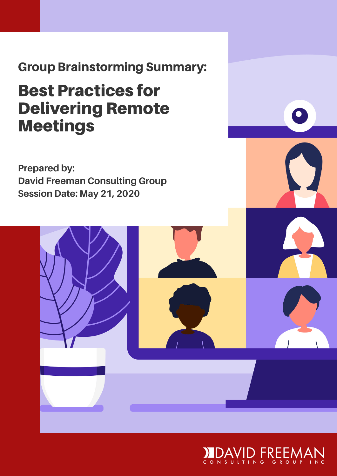Group Brainstorming Summary:

#### Best Practices for Delivering Remote Meetings

**Prepared by: David Freeman Consulting Group Session Date: May 21, 2020**

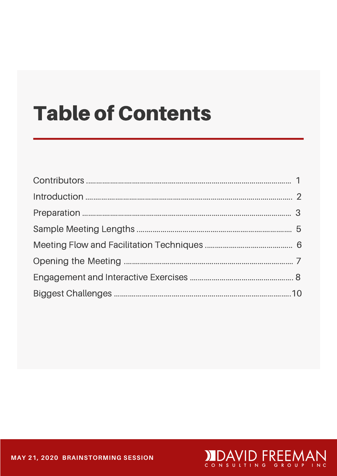## **Table of Contents**

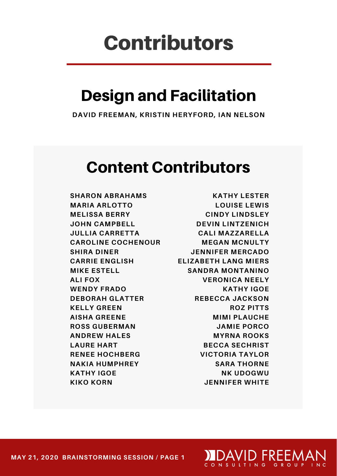### Contributors

#### Design and Facilitation

**DAVID FREEMAN, KRISTIN HERYFORD, IAN NELSON**

#### Content Contributors

**SHARON ABRAHAMS MARIA ARLOTTO MELISSA BERRY JOHN CAMPBELL JULLIA CARRETTA CAROLINE COCHENOUR SHIRA DINER CARRIE ENGLISH MIKE ESTELL ALI FOX WENDY FRADO DEBORAH GLATTER KELLY GREEN AISHA GREENE ROSS GUBERMAN ANDREW HALES LAURE HART RENEE HOCHBERG NAKIA HUMPHREY KATHY IGOE KIKO KORN**

**KATHY LESTER LOUISE LEWIS CINDY LINDSLEY DEVIN LINTZENICH CALI MAZZARELLA MEGAN MCNULTY JENNIFER MERCADO ELIZABETH LANG MIERS SANDRA MONTANINO VERONICA NEELY KATHY IGOE REBECCA JACKSON ROZ PITTS MIMI PLAUCHE JAMIE PORCO MYRNA ROOKS BECCA SECHRIST VICTORIA TAYLOR SARA THORNE NK UDOGWU JENNIFER WHITE**

**DEDAYID FREEMA** 

**MAY 21, 2020 BRAINSTORMING SESSION / PAGE 2 MAY 21, 2020 BRAINSTORMING SESSION / PAGE 1**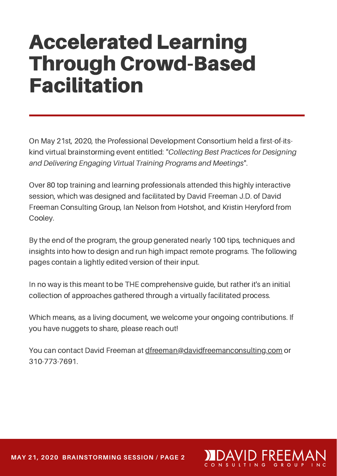## Accelerated Learning Through Crowd-Based Facilitation

On May 21st, 2020, the Professional Development Consortium held a first-of-itskind virtual brainstorming event entitled: "*Collecting Best Practices for Designing and Delivering Engaging Virtual Training Programs and Meetings*".

Over 80 top training and learning professionals attended this highly interactive session, which was designed and facilitated by David Freeman J.D. of David Freeman Consulting Group, Ian Nelson from Hotshot, and Kristin Heryford from Cooley.

By the end of the program, the group generated nearly 100 tips, techniques and insights into how to design and run high impact remote programs. The following pages contain a lightly edited version of their input.

In no way is this meant to be THE comprehensive guide, but rather it's an initial collection of approaches gathered through a virtually facilitated process.

Which means, as a living document, we welcome your ongoing contributions. If you have nuggets to share, please reach out!

You can contact David Freeman at [dfreeman@davidfreemanconsulting.com](http://davidfreemanconsulting.com/) or 310-773-7691.

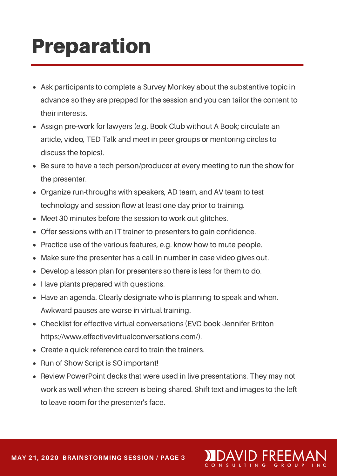## Preparation

- Ask participants to complete a Survey Monkey about the substantive topic in advance so they are prepped for the session and you can tailor the content to their interests.
- Assign pre-work for lawyers (e.g. Book Club without A Book; circulate an article, video, TED Talk and meet in peer groups or mentoring circles to discuss the topics).
- Be sure to have a tech person/producer at every meeting to run the show for the presenter.
- Organize run-throughs with speakers, AD team, and AV team to test technology and session flow at least one day prior to training.
- Meet 30 minutes before the session to work out glitches.
- Offer sessions with an IT trainer to presenters to gain confidence.
- Practice use of the various features, e.g. know how to mute people.
- Make sure the presenter has a call-in number in case video gives out.
- Develop a lesson plan for presenters so there is less for them to do.  $\bullet$
- Have plants prepared with questions.
- Have an agenda. Clearly designate who is planning to speak and when. Awkward pauses are worse in virtual training.
- Checklist for effective virtual conversations (EVC book Jennifer Britton <https://www.effectivevirtualconversations.com/>).
- Create a quick reference card to train the trainers.
- Run of Show Script is SO important!
- Review PowerPoint decks that were used in live presentations. They may not work as well when the screen is being shared. Shift text and images to the left to leave room for the presenter's face.

3 G R O U

**MAY 21, 2020 BRAINSTORMING SESSION / PAGE 4 MAY 21, 2020 BRAINSTORMING SESSION / PAGE 3**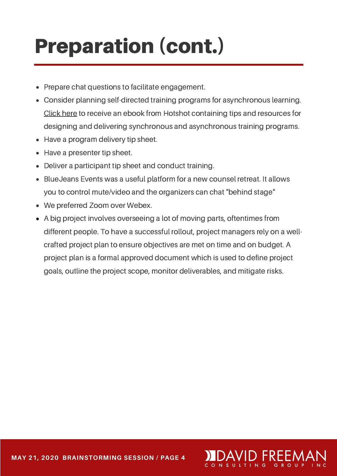# Preparation (cont.)

- Prepare chat questions to facilitate engagement.
- Consider planning self-directed training programs for asynchronous learning. [Click](https://campaigns.hotshotlegal.com/remote/) here to receive an ebook from Hotshot containing tips and resources for designing and delivering synchronous and asynchronous training programs.
- Have a program delivery tip sheet.
- Have a presenter tip sheet.
- Deliver a participant tip sheet and conduct training.
- BlueJeans Events was a useful platform for a new counsel retreat. It allows you to control mute/video and the organizers can chat "behind stage"
- We preferred Zoom over Webex.
- A big project involves overseeing a lot of moving parts, oftentimes from different people. To have a successful rollout, project managers rely on a wellcrafted project plan to ensure objectives are met on time and on budget. A project plan is a formal approved document which is used to define project goals, outline the project scope, monitor deliverables, and mitigate risks.

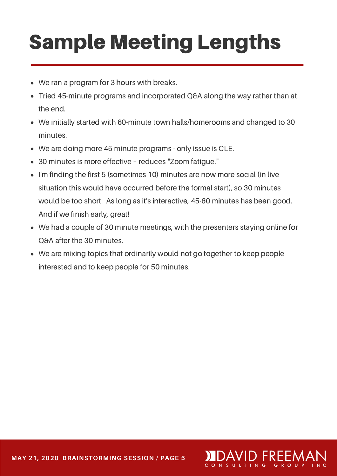# Sample Meeting Lengths

- We ran a program for 3 hours with breaks.
- Tried 45-minute programs and incorporated Q&A along the way rather than at the end.
- We initially started with 60-minute town halls/homerooms and changed to 30  $\bullet$ minutes.
- We are doing more 45 minute programs only issue is CLE.
- 30 minutes is more effective reduces "Zoom fatigue."
- I'm finding the first 5 (sometimes 10) minutes are now more social (in live situation this would have occurred before the formal start), so 30 minutes would be too short. As long as it's interactive, 45-60 minutes has been good. And if we finish early, great!
- We had a couple of 30 minute meetings, with the presenters staying online for Q&A after the 30 minutes.
- We are mixing topics that ordinarily would not go together to keep people interested and to keep people for 50 minutes.

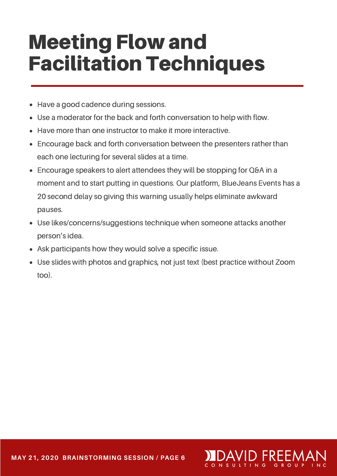## Meeting Flow and Facilitation Techniques

- Have a good cadence during sessions.
- Use a moderator for the back and forth conversation to help with flow.
- Have more than one instructor to make it more interactive.
- Encourage back and forth conversation between the presenters rather than each one lecturing for several slides at a time.
- Encourage speakers to alert attendees they will be stopping for Q&A in a moment and to start putting in questions. Our platform, BlueJeans Events has a 20 second delay so giving this warning usually helps eliminate awkward pauses.
- Use likes/concerns/suggestions technique when someone attacks another person's idea.
- Ask participants how they would solve a specific issue.  $\bullet$
- Use slides with photos and graphics, not just text (best practice without Zoom too).

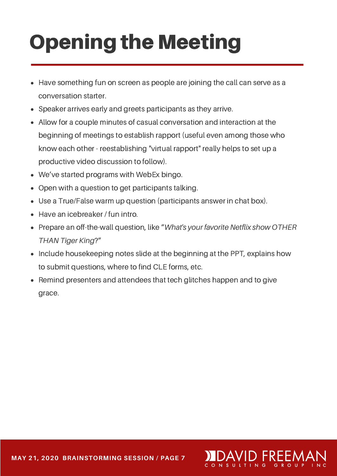# Opening the Meeting

- Have something fun on screen as people are joining the call can serve as a conversation starter.
- Speaker arrives early and greets participants as they arrive.
- Allow for a couple minutes of casual conversation and interaction at the beginning of meetings to establish rapport (useful even among those who know each other - reestablishing "virtual rapport" really helps to set up a productive video discussion to follow).
- We've started programs with WebEx bingo.
- Open with a question to get participants talking.
- Use a True/False warm up question (participants answer in chat box).
- Have an icebreaker / fun intro.
- Prepare an off-the-wall question, like "*What's your favorite Netflix show OTHER THAN Tiger King*?"
- Include housekeeping notes slide at the beginning at the PPT, explains how to submit questions, where to find CLE forms, etc.
- Remind presenters and attendees that tech glitches happen and to give grace.

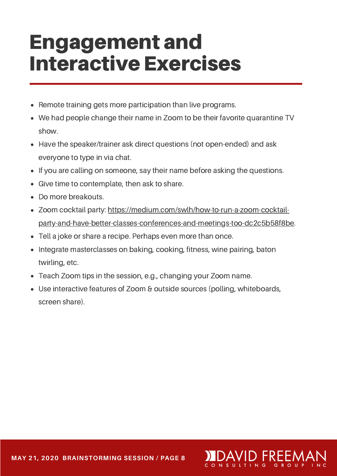## Engagement and Interactive Exercises

- Remote training gets more participation than live programs.
- We had people change their name in Zoom to be their favorite quarantine TV show.
- Have the speaker/trainer ask direct questions (not open-ended) and ask everyone to type in via chat.
- If you are calling on someone, say their name before asking the questions.
- Give time to contemplate, then ask to share.
- Do more breakouts.
- Zoom cocktail party: https://medium.com/swlh/how-to-run-a-zoom-cocktail[party-and-have-better-classes-conferences-and-meetings-too-dc2c5b58f8be](https://medium.com/swlh/how-to-run-a-zoom-cocktail-party-and-have-better-classes-conferences-and-meetings-too-dc2c5b58f8be).
- Tell a joke or share a recipe. Perhaps even more than once.
- Integrate masterclasses on baking, cooking, fitness, wine pairing, baton twirling, etc.
- Teach Zoom tips in the session, e.g., changing your Zoom name.
- Use interactive features of Zoom & outside sources (polling, whiteboards, screen share).

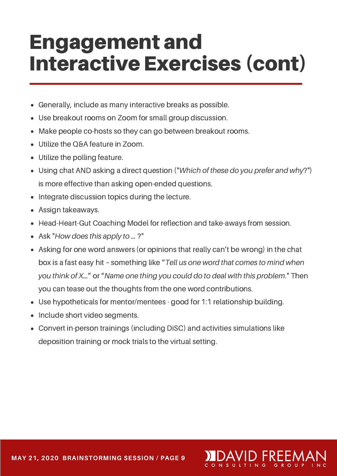## Engagement and Interactive Exercises (cont)

- Generally, include as many interactive breaks as possible.
- Use breakout rooms on Zoom for small group discussion.
- Make people co-hosts so they can go between breakout rooms.
- Utilize the Q&A feature in Zoom.
- Utilize the polling feature.
- Using chat AND asking a direct question ("*Which of these do you prefer and why*?") is more effective than asking open-ended questions.
- Integrate discussion topics during the lecture.
- Assign takeaways.
- Head-Heart-Gut Coaching Model for reflection and take-aways from session.
- Ask "*How does this apply to …* ?"
- Asking for one word answers (or opinions that really can't be wrong) in the chat box is a fast easy hit – something like "*Tell us one word that comes to mind when you think of X…*" or "*Name one thing you could do to deal with this problem*." Then you can tease out the thoughts from the one word contributions.
- Use hypotheticals for mentor/mentees good for 1:1 relationship building.
- Include short video segments.
- Convert in-person trainings (including DiSC) and activities simulations like deposition training or mock trials to the virtual setting.

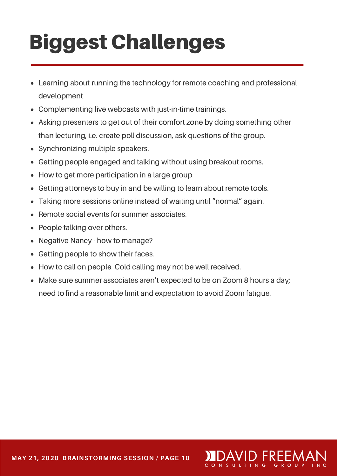# Biggest Challenges

- Learning about running the technology for remote coaching and professional development.
- Complementing live webcasts with just-in-time trainings.
- Asking presenters to get out of their comfort zone by doing something other than lecturing, i.e. create poll discussion, ask questions of the group.
- Synchronizing multiple speakers.
- Getting people engaged and talking without using breakout rooms.
- How to get more participation in a large group.
- Getting attorneys to buy in and be willing to learn about remote tools.
- Taking more sessions online instead of waiting until "normal" again.
- Remote social events for summer associates.
- People talking over others.
- Negative Nancy how to manage?
- Getting people to show their faces.
- How to call on people. Cold calling may not be well received.
- Make sure summer associates aren't expected to be on Zoom 8 hours a day; need to find a reasonable limit and expectation to avoid Zoom fatigue.